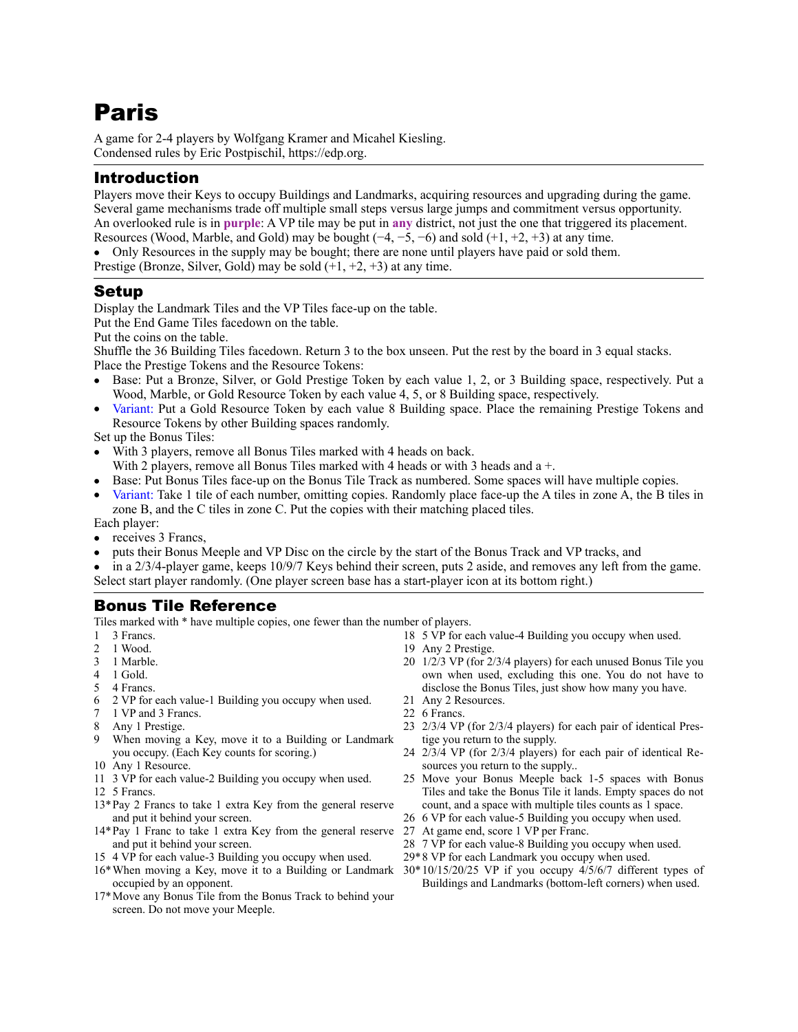# Paris

A game for 2-4 players by Wolfgang Kramer and Micahel Kiesling. Condensed rules by Eric Postpischil,<https://edp.org>.

## Introduction

Players move their Keys to occupy Buildings and Landmarks, acquiring resources and upgrading during the game. Several game mechanisms trade off multiple small steps versus large jumps and commitment versus opportunity. An overlooked rule is in **purple**: A VP tile may be put in **any** district, not just the one that triggered its placement. Resources (Wood, Marble, and Gold) may be bought  $(-4, -5, -6)$  and sold  $(+1, +2, +3)$  at any time.

• Only Resources in the supply may be bought; there are none until players have paid or sold them.

Prestige (Bronze, Silver, Gold) may be sold  $(+1, +2, +3)$  at any time.

## Setup

Display the Landmark Tiles and the VP Tiles face-up on the table. Put the End Game Tiles facedown on the table.

Put the coins on the table.

Shuffle the 36 Building Tiles facedown. Return 3 to the box unseen. Put the rest by the board in 3 equal stacks. Place the Prestige Tokens and the Resource Tokens:

- Base: Put a Bronze, Silver, or Gold Prestige Token by each value 1, 2, or 3 Building space, respectively. Put a Wood, Marble, or Gold Resource Token by each value 4, 5, or 8 Building space, respectively.
- Variant: Put a Gold Resource Token by each value 8 Building space. Place the remaining Prestige Tokens and Resource Tokens by other Building spaces randomly.

Set up the Bonus Tiles:

- With 3 players, remove all Bonus Tiles marked with 4 heads on back.
- With 2 players, remove all Bonus Tiles marked with 4 heads or with 3 heads and a +.
- Base: Put Bonus Tiles face-up on the Bonus Tile Track as numbered. Some spaces will have multiple copies.
- Variant: Take 1 tile of each number, omitting copies. Randomly place face-up the A tiles in zone A, the B tiles in zone B, and the C tiles in zone C. Put the copies with their matching placed tiles. Each player:
- receives 3 Francs,
- 
- puts their Bonus Meeple and VP Disc on the circle by the start of the Bonus Track and VP tracks, and
- in a 2/3/4-player game, keeps 10/9/7 Keys behind their screen, puts 2 aside, and removes any left from the game. Select start player randomly. (One player screen base has a start-player icon at its bottom right.)

### Bonus Tile Reference

Tiles marked with \* have multiple copies, one fewer than the number of players.

- 1 3 Francs.
- 2 1 Wood.
- 3 1 Marble.
- 4 1 Gold.
- 5 4 Francs.
- 6 2 VP for each value-1 Building you occupy when used.
- 7 1 VP and 3 Francs.
- 8 Any 1 Prestige.
- When moving a Key, move it to a Building or Landmark you occupy. (Each Key counts for scoring.)
- 10 Any 1 Resource.
- 11 3 VP for each value-2 Building you occupy when used.
- 12 5 Francs.
- 13\* Pay 2 Francs to take 1 extra Key from the general reserve and put it behind your screen.
- 14\* Pay 1 Franc to take 1 extra Key from the general reserve and put it behind your screen.
- 15 4 VP for each value-3 Building you occupy when used.
- 16\* When moving a Key, move it to a Building or Landmark 30\* 10/15/20/25 VP if you occupy 4/5/6/7 different types of occupied by an opponent.
- 17\* Move any Bonus Tile from the Bonus Track to behind your screen. Do not move your Meeple.
- 18 5 VP for each value-4 Building you occupy when used.
- 19 Any 2 Prestige.
- 20 1/2/3 VP (for 2/3/4 players) for each unused Bonus Tile you own when used, excluding this one. You do not have to disclose the Bonus Tiles, just show how many you have.
- 21 Any 2 Resources.
- 22 6 Francs.
- 23 2/3/4 VP (for 2/3/4 players) for each pair of identical Prestige you return to the supply.
- 24 2/3/4 VP (for 2/3/4 players) for each pair of identical Resources you return to the supply..
- 25 Move your Bonus Meeple back 1-5 spaces with Bonus Tiles and take the Bonus Tile it lands. Empty spaces do not count, and a space with multiple tiles counts as 1 space.
- 26 6 VP for each value-5 Building you occupy when used.
- 27 At game end, score 1 VP per Franc.
- 28 7 VP for each value-8 Building you occupy when used.
- 29\* 8 VP for each Landmark you occupy when used.
- Buildings and Landmarks (bottom-left corners) when used.